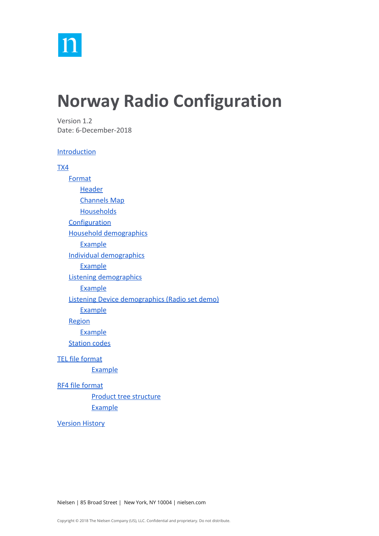

# **Norway Radio Configuration**

Version 1.2 Date: 6-December-2018

#### **[Introduction](#page-1-0)**

#### [TX4](#page-1-1)

**[Format](#page-1-2) [Header](#page-1-3)** [Channels Map](#page-2-0) **[Households](#page-3-0) [Configuration](#page-6-0)** [Household demographics](#page-6-1) [Example](#page-6-2) [Individual demographics](#page-7-0) [Example](#page-11-0) [Listening demographics](#page-11-1) **[Example](#page-12-0)** [Listening Device demographics \(Radio set demo\)](#page-12-1) **[Example](#page-13-0) [Region](#page-13-1) [Example](#page-13-2)** [Station codes](#page-13-3) [TEL file format](#page-15-0) **[Example](#page-16-0)** [RF4 file format](#page-17-0) [Product tree structure](#page-19-0)

[Example](#page-19-1)

[Version History](#page-19-2)

Nielsen | 85 Broad Street | New York, NY 10004 | nielsen.com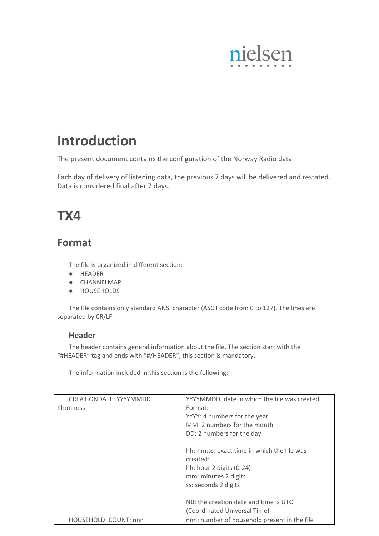

# <span id="page-1-0"></span>**Introduction**

The present document contains the configuration of the Norway Radio data

Each day of delivery of listening data, the previous 7 days will be delivered and restated. Data is considered final after 7 days.

# <span id="page-1-1"></span>**TX4**

## <span id="page-1-2"></span>**Format**

The file is organized in different section:

- HEADER
- CHANNELMAP
- HOUSEHOLDS

<span id="page-1-3"></span>The file contains only standard ANSI character (ASCII code from 0 to 127). The lines are separated by CR/LF.

#### **Header**

The header contains general information about the file. The section start with the "#HEADER" tag and ends with "#/HEADER", this section is mandatory.

The information included in this section is the following:

| CREATIONDATE: YYYYMMDD | YYYYMMDD: date in which the file was created |  |  |
|------------------------|----------------------------------------------|--|--|
| hh:mm:ss               | Format:                                      |  |  |
|                        | YYYY: 4 numbers for the year                 |  |  |
|                        | MM: 2 numbers for the month                  |  |  |
|                        | DD: 2 numbers for the day                    |  |  |
|                        | hh:mm:ss: exact time in which the file was   |  |  |
|                        | created:                                     |  |  |
|                        | hh: hour 2 digits (0-24)                     |  |  |
|                        | mm: minutes 2 digits                         |  |  |
|                        | ss: seconds 2 digits                         |  |  |
|                        |                                              |  |  |
|                        | NB: the creation date and time is UTC        |  |  |
|                        | (Coordinated Universal Time)                 |  |  |
| HOUSEHOLD COUNT: nnn   | nnn: number of household present in the file |  |  |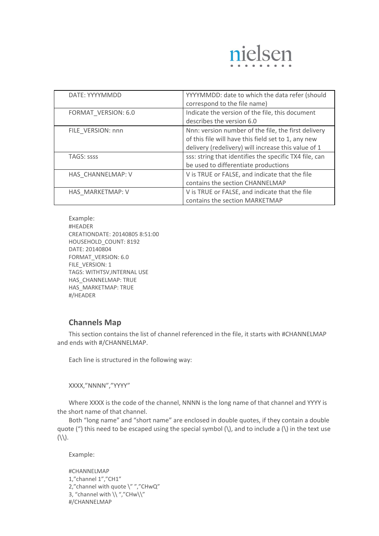

| DATE: YYYYMMDD      | YYYYMMDD: date to which the data refer (should<br>correspond to the file name)                                                                                    |
|---------------------|-------------------------------------------------------------------------------------------------------------------------------------------------------------------|
| FORMAT VERSION: 6.0 | Indicate the version of the file, this document<br>describes the version 6.0                                                                                      |
| FILE VERSION: nnn   | Nnn: version number of the file, the first delivery<br>of this file will have this field set to 1, any new<br>delivery (redelivery) will increase this value of 1 |
| <b>TAGS: SSSS</b>   | sss: string that identifies the specific TX4 file, can<br>be used to differentiate productions                                                                    |
| HAS CHANNELMAP: V   | V is TRUE or FALSE, and indicate that the file<br>contains the section CHANNELMAP                                                                                 |
| HAS MARKETMAP: V    | V is TRUE or FALSE, and indicate that the file<br>contains the section MARKETMAP                                                                                  |

Example: #HEADER CREATIONDATE: 20140805 8:51:00 HOUSEHOLD\_COUNT: 8192 DATE: 20140804 FORMAT\_VERSION: 6.0 FILE\_VERSION: 1 TAGS: WITHTSV,INTERNAL USE HAS\_CHANNELMAP: TRUE HAS\_MARKETMAP: TRUE #/HEADER

### <span id="page-2-0"></span>**Channels Map**

This section contains the list of channel referenced in the file, it starts with #CHANNELMAP and ends with #/CHANNELMAP.

Each line is structured in the following way:

XXXX,"NNNN","YYYY"

Where XXXX is the code of the channel, NNNN is the long name of that channel and YYYY is the short name of that channel.

Both "long name" and "short name" are enclosed in double quotes, if they contain a double quote (") this need to be escaped using the special symbol  $\langle \rangle$ , and to include a  $\langle \rangle$  in the text use  $(\langle \langle \rangle)$ .

Example:

```
#CHANNELMAP
1,"channel 1","CH1"
2," channel with quote \"","CHwQ"
3, "channel with \langle \langle ","CHw\rangle"
#/CHANNELMAP
```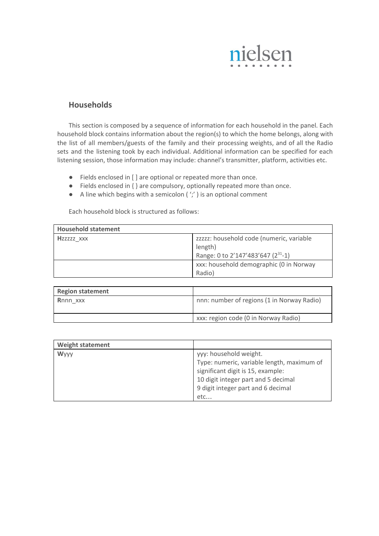

#### <span id="page-3-0"></span>**Households**

This section is composed by a sequence of information for each household in the panel. Each household block contains information about the region(s) to which the home belongs, along with the list of all members/guests of the family and their processing weights, and of all the Radio sets and the listening took by each individual. Additional information can be specified for each listening session, those information may include: channel's transmitter, platform, activities etc.

- Fields enclosed in [ ] are optional or repeated more than once.
- Fields enclosed in { } are compulsory, optionally repeated more than once.
- $\bullet$  A line which begins with a semicolon ( $\dot{\ }$ ) is an optional comment

Each household block is structured as follows:

| <b>Household statement</b> |                                                                                                       |
|----------------------------|-------------------------------------------------------------------------------------------------------|
| Hzzzzz XXX                 | zzzzz: household code (numeric, variable<br>length)<br>Range: 0 to 2'147'483'647 (2 <sup>31</sup> -1) |
|                            | xxx: household demographic (0 in Norway<br>Radio)                                                     |
| The all and advantages and |                                                                                                       |

| <b>Region statement</b> |                                            |
|-------------------------|--------------------------------------------|
| Rnnn xxx                | nnn: number of regions (1 in Norway Radio) |
|                         | xxx: region code (0 in Norway Radio)       |

| <b>Weight statement</b> |                                            |
|-------------------------|--------------------------------------------|
| <b>Wyyy</b>             | yyy: household weight.                     |
|                         | Type: numeric, variable length, maximum of |
|                         | significant digit is 15, example:          |
|                         | 10 digit integer part and 5 decimal        |
|                         | 9 digit integer part and 6 decimal         |
|                         | etc                                        |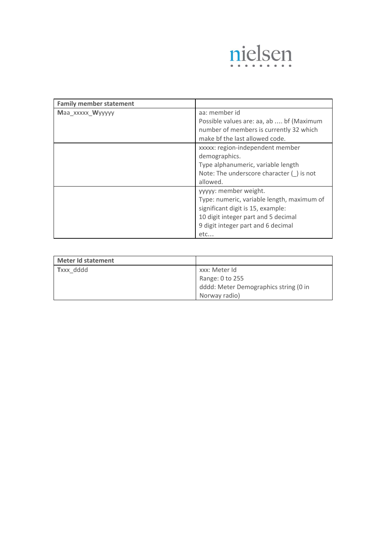

| <b>Family member statement</b> |                                                                                                                                                                                                 |  |
|--------------------------------|-------------------------------------------------------------------------------------------------------------------------------------------------------------------------------------------------|--|
| Maa xxxxx Wyyyyy               | aa: member id<br>Possible values are: aa, ab  bf (Maximum<br>number of members is currently 32 which<br>make bf the last allowed code.                                                          |  |
|                                | xxxxx: region-independent member<br>demographics.<br>Type alphanumeric, variable length<br>Note: The underscore character () is not<br>allowed.                                                 |  |
|                                | yyyyy: member weight.<br>Type: numeric, variable length, maximum of<br>significant digit is 15, example:<br>10 digit integer part and 5 decimal<br>9 digit integer part and 6 decimal<br>$etc.$ |  |

| <b>Meter Id statement</b> |                                       |
|---------------------------|---------------------------------------|
| Txxx dddd                 | xxx: Meter Id                         |
|                           | Range: 0 to 255                       |
|                           | dddd: Meter Demographics string (0 in |
|                           | Norway radio)                         |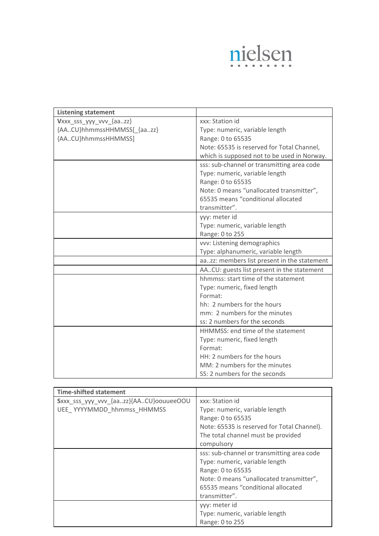

| <b>Listening statement</b>                                   |                                             |
|--------------------------------------------------------------|---------------------------------------------|
| Vxxx_sss_yyy_vvv_{aazz}                                      | xxx: Station id                             |
| {AACU}hhmmssHHMMSS[_{aazz}<br>Type: numeric, variable length |                                             |
| {AACU}hhmmssHHMMSS]                                          | Range: 0 to 65535                           |
|                                                              | Note: 65535 is reserved for Total Channel,  |
|                                                              | which is supposed not to be used in Norway. |
|                                                              | sss: sub-channel or transmitting area code  |
|                                                              | Type: numeric, variable length              |
|                                                              | Range: 0 to 65535                           |
|                                                              | Note: 0 means "unallocated transmitter",    |
|                                                              | 65535 means "conditional allocated          |
|                                                              | transmitter".                               |
|                                                              | yyy: meter id                               |
|                                                              | Type: numeric, variable length              |
|                                                              | Range: 0 to 255                             |
|                                                              | vvv: Listening demographics                 |
|                                                              | Type: alphanumeric, variable length         |
|                                                              | aazz: members list present in the statement |
|                                                              | AACU: guests list present in the statement  |
|                                                              | hhmmss: start time of the statement         |
|                                                              | Type: numeric, fixed length                 |
|                                                              | Format:                                     |
|                                                              | hh: 2 numbers for the hours                 |
|                                                              | mm: 2 numbers for the minutes               |
|                                                              | ss: 2 numbers for the seconds               |
|                                                              | HHMMSS: end time of the statement           |
|                                                              | Type: numeric, fixed length                 |
|                                                              | Format:                                     |
|                                                              | HH: 2 numbers for the hours                 |
|                                                              | MM: 2 numbers for the minutes               |
|                                                              | SS: 2 numbers for the seconds               |

| <b>Time-shifted statement</b>          |                                             |
|----------------------------------------|---------------------------------------------|
| Sxxx_sss_yyy_vvv_{aazz}{AACU}oouueeOOU | xxx: Station id                             |
| UEE_YYYYMMDD_hhmmss_HHMMSS             | Type: numeric, variable length              |
|                                        | Range: 0 to 65535                           |
|                                        | Note: 65535 is reserved for Total Channel). |
|                                        | The total channel must be provided          |
|                                        | compulsory                                  |
|                                        | sss: sub-channel or transmitting area code  |
|                                        | Type: numeric, variable length              |
|                                        | Range: 0 to 65535                           |
|                                        | Note: 0 means "unallocated transmitter",    |
|                                        | 65535 means "conditional allocated          |
|                                        | transmitter".                               |
|                                        | yyy: meter id                               |
|                                        | Type: numeric, variable length              |
|                                        | Range: 0 to 255                             |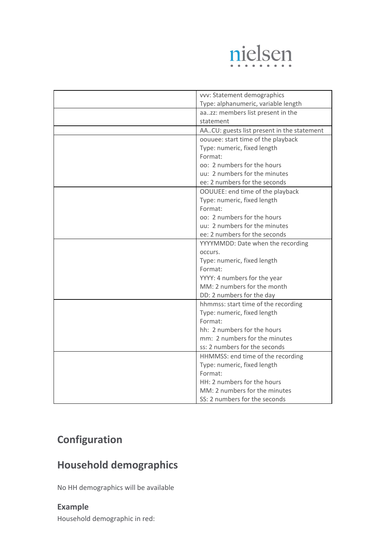

| vvv: Statement demographics                |
|--------------------------------------------|
| Type: alphanumeric, variable length        |
| aazz: members list present in the          |
| statement                                  |
|                                            |
| AACU: guests list present in the statement |
| oouuee: start time of the playback         |
| Type: numeric, fixed length                |
| Format:                                    |
| oo: 2 numbers for the hours                |
| uu: 2 numbers for the minutes              |
| ee: 2 numbers for the seconds              |
| OOUUEE: end time of the playback           |
| Type: numeric, fixed length                |
| Format:                                    |
| oo: 2 numbers for the hours                |
| uu: 2 numbers for the minutes              |
| ee: 2 numbers for the seconds              |
| YYYYMMDD: Date when the recording          |
| occurs.                                    |
| Type: numeric, fixed length                |
| Format:                                    |
| YYYY: 4 numbers for the year               |
| MM: 2 numbers for the month                |
| DD: 2 numbers for the day                  |
| hhmmss: start time of the recording        |
| Type: numeric, fixed length                |
| Format:                                    |
| hh: 2 numbers for the hours                |
| mm: 2 numbers for the minutes              |
| ss: 2 numbers for the seconds              |
| HHMMSS: end time of the recording          |
| Type: numeric, fixed length                |
| Format:                                    |
| HH: 2 numbers for the hours                |
| MM: 2 numbers for the minutes              |
| SS: 2 numbers for the seconds              |

## <span id="page-6-0"></span>**Configuration**

## <span id="page-6-1"></span>**Household demographics**

<span id="page-6-2"></span>No HH demographics will be available

## **Example**

Household demographic in red: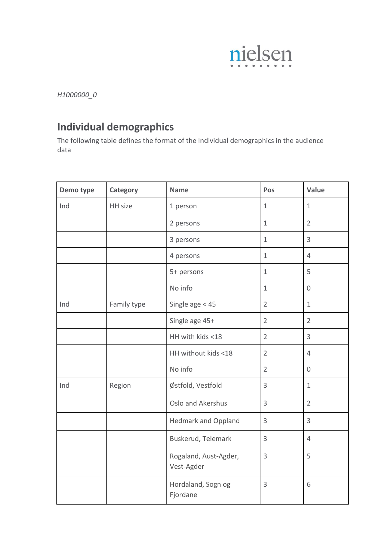

*H1000000\_0*

## <span id="page-7-0"></span>**Individual demographics**

The following table defines the format of the Individual demographics in the audience data

| Demo type | Category    | <b>Name</b>                         | Pos            | Value          |
|-----------|-------------|-------------------------------------|----------------|----------------|
| Ind       | HH size     | 1 person                            | $\mathbf{1}$   | $\mathbf{1}$   |
|           |             | 2 persons                           | $\mathbf 1$    | $\overline{2}$ |
|           |             | 3 persons                           | $\mathbf{1}$   | 3              |
|           |             | 4 persons                           | $\mathbf{1}$   | $\overline{4}$ |
|           |             | 5+ persons                          | $\mathbf{1}$   | 5              |
|           |             | No info                             | $\mathbf{1}$   | $\overline{0}$ |
| Ind       | Family type | Single age $<$ 45                   | $\overline{2}$ | $\mathbf{1}$   |
|           |             | Single age 45+                      | $\overline{2}$ | $\overline{2}$ |
|           |             | HH with kids <18                    | $\overline{2}$ | $\overline{3}$ |
|           |             | HH without kids <18                 | $\overline{2}$ | $\overline{4}$ |
|           |             | No info                             | $\overline{2}$ | $\mathbf 0$    |
| Ind       | Region      | Østfold, Vestfold                   | $\overline{3}$ | $\mathbf{1}$   |
|           |             | Oslo and Akershus                   | $\overline{3}$ | $\overline{2}$ |
|           |             | <b>Hedmark and Oppland</b>          | $\overline{3}$ | $\overline{3}$ |
|           |             | Buskerud, Telemark                  | $\overline{3}$ | $\overline{4}$ |
|           |             | Rogaland, Aust-Agder,<br>Vest-Agder | 3              | 5              |
|           |             | Hordaland, Sogn og<br>Fjordane      | $\overline{3}$ | 6              |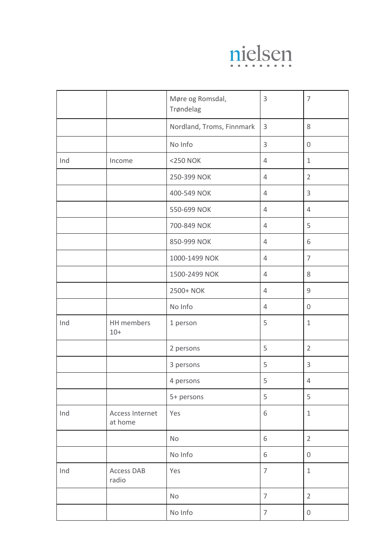

|     |                            | Møre og Romsdal,<br>Trøndelag | $\mathsf 3$    | $\overline{7}$   |
|-----|----------------------------|-------------------------------|----------------|------------------|
|     |                            | Nordland, Troms, Finnmark     | $\overline{3}$ | $8\,$            |
|     |                            | No Info                       | 3              | $\boldsymbol{0}$ |
| Ind | Income                     | <250 NOK                      | $\overline{4}$ | $\mathbf{1}$     |
|     |                            | 250-399 NOK                   | 4              | $\overline{2}$   |
|     |                            | 400-549 NOK                   | $\overline{4}$ | 3                |
|     |                            | 550-699 NOK                   | $\overline{4}$ | $\overline{4}$   |
|     |                            | 700-849 NOK                   | $\overline{4}$ | 5                |
|     |                            | 850-999 NOK                   | $\overline{4}$ | 6                |
|     |                            | 1000-1499 NOK                 | $\overline{4}$ | $\overline{7}$   |
|     |                            | 1500-2499 NOK                 | $\overline{4}$ | $8\,$            |
|     |                            | 2500+ NOK                     | 4              | $\mathcal{G}$    |
|     |                            | No Info                       | 4              | $\mathbf 0$      |
| Ind | HH members<br>$10+$        | 1 person                      | 5              | $\mathbf{1}$     |
|     |                            | 2 persons                     | 5              | $\overline{2}$   |
|     |                            | 3 persons                     | 5              | 3                |
|     |                            | 4 persons                     | 5              | $\overline{4}$   |
|     |                            | 5+ persons                    | 5              | 5                |
| Ind | Access Internet<br>at home | Yes                           | 6              | $\mathbf{1}$     |
|     |                            | No                            | 6              | $\overline{2}$   |
|     |                            | No Info                       | 6              | $\boldsymbol{0}$ |
| Ind | Access DAB<br>radio        | Yes                           | $\overline{7}$ | $\mathbf{1}$     |
|     |                            | No                            | $\overline{7}$ | $\overline{2}$   |
|     |                            | No Info                       | $\overline{7}$ | $\boldsymbol{0}$ |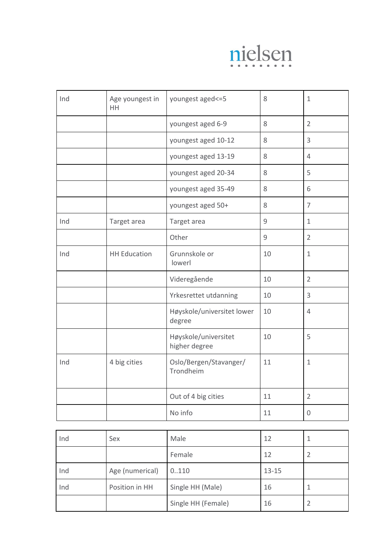

| Ind | Age youngest in<br><b>HH</b> | youngest aged <= 5                    | 8     | $\mathbf{1}$   |
|-----|------------------------------|---------------------------------------|-------|----------------|
|     |                              | youngest aged 6-9                     | 8     | $\overline{2}$ |
|     |                              | youngest aged 10-12                   | 8     | 3              |
|     |                              | youngest aged 13-19                   | 8     | 4              |
|     |                              | youngest aged 20-34                   | $8\,$ | 5              |
|     |                              | youngest aged 35-49                   | $8\,$ | 6              |
|     |                              | youngest aged 50+                     | 8     | $\overline{7}$ |
| Ind | Target area                  | Target area                           | 9     | $\mathbf{1}$   |
|     |                              | Other                                 | 9     | $\overline{2}$ |
| Ind | <b>HH Education</b>          | Grunnskole or<br>lowerl               | 10    | $\mathbf{1}$   |
|     |                              | Videregående                          | 10    | $\overline{2}$ |
|     |                              | Yrkesrettet utdanning                 | 10    | 3              |
|     |                              | Høyskole/universitet lower<br>degree  | 10    | 4              |
|     |                              | Høyskole/universitet<br>higher degree | 10    | 5              |
| Ind | 4 big cities                 | Oslo/Bergen/Stavanger/<br>Trondheim   | 11    | $\mathbf{1}$   |
|     |                              | Out of 4 big cities                   | 11    | $\overline{2}$ |
|     |                              | No info                               | 11    | 0              |

| Ind | Sex             | Male               | 12        |  |
|-----|-----------------|--------------------|-----------|--|
|     |                 | Female             | 12        |  |
| Ind | Age (numerical) | 0.110              | $13 - 15$ |  |
| Ind | Position in HH  | Single HH (Male)   | 16        |  |
|     |                 | Single HH (Female) | 16        |  |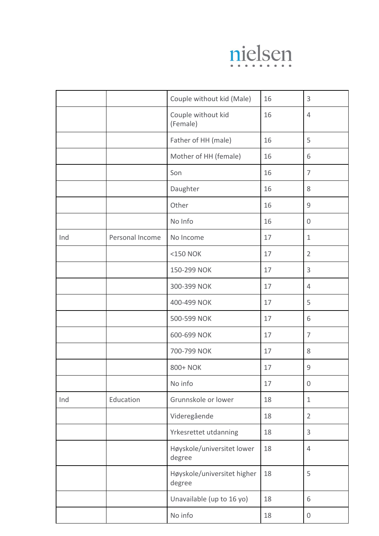

|     |                 | Couple without kid (Male)             | 16 | 3                |
|-----|-----------------|---------------------------------------|----|------------------|
|     |                 | Couple without kid<br>(Female)        | 16 | $\overline{4}$   |
|     |                 | Father of HH (male)                   | 16 | 5                |
|     |                 | Mother of HH (female)                 | 16 | 6                |
|     |                 | Son                                   | 16 | $\overline{7}$   |
|     |                 | Daughter                              | 16 | $8\,$            |
|     |                 | Other                                 | 16 | $\mathsf 9$      |
|     |                 | No Info                               | 16 | $\overline{0}$   |
| Ind | Personal Income | No Income                             | 17 | $\mathbf{1}$     |
|     |                 | <150 NOK                              | 17 | $\overline{2}$   |
|     |                 | 150-299 NOK                           | 17 | 3                |
|     |                 | 300-399 NOK                           | 17 | 4                |
|     |                 | 400-499 NOK                           | 17 | 5                |
|     |                 | 500-599 NOK                           | 17 | 6                |
|     |                 | 600-699 NOK                           | 17 | $\overline{7}$   |
|     |                 | 700-799 NOK                           | 17 | $8\,$            |
|     |                 | 800+ NOK                              | 17 | $\mathcal{G}$    |
|     |                 | No info                               | 17 | $\mathbf 0$      |
| Ind | Education       | Grunnskole or lower                   | 18 | $\mathbf{1}$     |
|     |                 | Videregående                          | 18 | $\overline{2}$   |
|     |                 | Yrkesrettet utdanning                 | 18 | 3                |
|     |                 | Høyskole/universitet lower<br>degree  | 18 | $\overline{4}$   |
|     |                 | Høyskole/universitet higher<br>degree | 18 | 5                |
|     |                 | Unavailable (up to 16 yo)             | 18 | 6                |
|     |                 | No info                               | 18 | $\boldsymbol{0}$ |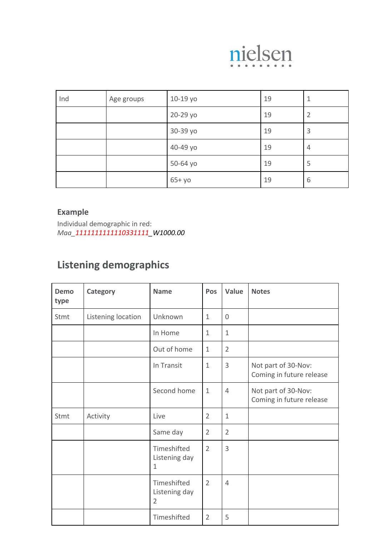

| Ind | Age groups | 10-19 yo | 19 | 1              |
|-----|------------|----------|----|----------------|
|     |            | 20-29 yo | 19 | $\overline{2}$ |
|     |            | 30-39 yo | 19 | 3              |
|     |            | 40-49 yo | 19 | 4              |
|     |            | 50-64 yo | 19 | 5              |
|     |            | $65+yo$  | 19 | 6              |

## <span id="page-11-0"></span>**Example**

Individual demographic in red: *Maa\_1111111111110331111\_W1000.00*

## <span id="page-11-1"></span>**Listening demographics**

| Demo<br>type | <b>Category</b>    | <b>Name</b>                                    | Pos            | Value          | <b>Notes</b>                                    |
|--------------|--------------------|------------------------------------------------|----------------|----------------|-------------------------------------------------|
| Stmt         | Listening location | Unknown                                        | $\mathbf{1}$   | $\overline{0}$ |                                                 |
|              |                    | In Home                                        | $\mathbf{1}$   | $\mathbf{1}$   |                                                 |
|              |                    | Out of home                                    | $\mathbf{1}$   | $\overline{2}$ |                                                 |
|              |                    | In Transit                                     | $\mathbf{1}$   | 3              | Not part of 30-Nov:<br>Coming in future release |
|              |                    | Second home                                    | $\mathbf{1}$   | $\overline{4}$ | Not part of 30-Nov:<br>Coming in future release |
| Stmt         | Activity           | Live                                           | $\overline{2}$ | $\mathbf{1}$   |                                                 |
|              |                    | Same day                                       | $\overline{2}$ | $\overline{2}$ |                                                 |
|              |                    | Timeshifted<br>Listening day<br>1              | $\overline{2}$ | 3              |                                                 |
|              |                    | Timeshifted<br>Listening day<br>$\overline{2}$ | $\overline{2}$ | $\overline{4}$ |                                                 |
|              |                    | Timeshifted                                    | $\overline{2}$ | 5              |                                                 |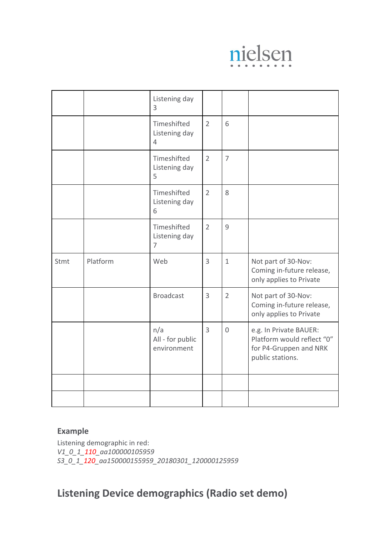

|      |          | Listening day<br>3                             |                |                |                                                                                                    |
|------|----------|------------------------------------------------|----------------|----------------|----------------------------------------------------------------------------------------------------|
|      |          | Timeshifted<br>Listening day<br>$\overline{4}$ | $\overline{2}$ | 6              |                                                                                                    |
|      |          | Timeshifted<br>Listening day<br>5              | $\overline{2}$ | $\overline{7}$ |                                                                                                    |
|      |          | Timeshifted<br>Listening day<br>6              | $\overline{2}$ | 8              |                                                                                                    |
|      |          | Timeshifted<br>Listening day<br>$\overline{7}$ | $\overline{2}$ | $\overline{9}$ |                                                                                                    |
| Stmt | Platform | Web                                            | $\overline{3}$ | $\mathbf{1}$   | Not part of 30-Nov:<br>Coming in-future release,<br>only applies to Private                        |
|      |          | <b>Broadcast</b>                               | $\overline{3}$ | $\overline{2}$ | Not part of 30-Nov:<br>Coming in-future release,<br>only applies to Private                        |
|      |          | n/a<br>All - for public<br>environment         | $\overline{3}$ | $\overline{0}$ | e.g. In Private BAUER:<br>Platform would reflect "0"<br>for P4-Gruppen and NRK<br>public stations. |
|      |          |                                                |                |                |                                                                                                    |
|      |          |                                                |                |                |                                                                                                    |

### <span id="page-12-0"></span>**Example**

Listening demographic in red: *V1\_0\_1\_110\_aa100000105959 S3\_0\_1\_120\_aa150000155959\_20180301\_120000125959*

## <span id="page-12-1"></span>**Listening Device demographics (Radio set demo)**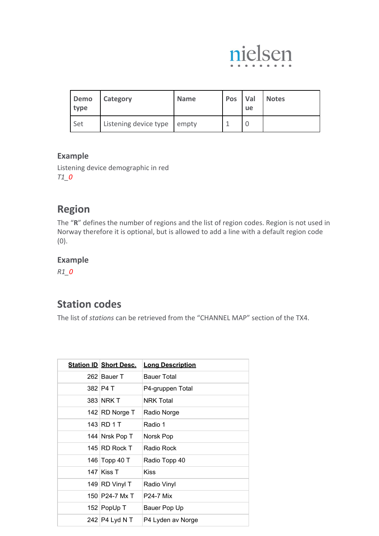

| Demo<br>type | Category                    | <b>Name</b> | <b>Pos</b> | <b>Val</b><br><b>ue</b> | <b>Notes</b> |
|--------------|-----------------------------|-------------|------------|-------------------------|--------------|
| Set          | Listening device type empty |             |            |                         |              |

## <span id="page-13-0"></span>**Example**

Listening device demographic in red *T1\_0*

## <span id="page-13-1"></span>**Region**

The "**R**" defines the number of regions and the list of region codes. Region is not used in Norway therefore it is optional, but is allowed to add a line with a default region code (0).

## <span id="page-13-2"></span>**Example**

*R1\_0*

## <span id="page-13-3"></span>**Station codes**

The list of *stations* can be retrieved from the "CHANNEL MAP" section of the TX4.

| <b>Station ID Short Desc.</b> | <b>Long Description</b> |
|-------------------------------|-------------------------|
| 262 Bauer T                   | <b>Bauer Total</b>      |
| 382 P4 T                      | P4-gruppen Total        |
| 383 NRK T                     | <b>NRK Total</b>        |
| 142 RD Norge T                | Radio Norge             |
| 143 RD 1 T                    | Radio 1                 |
| 144 Nrsk Pop T                | Norsk Pop               |
| 145 RD Rock T                 | Radio Rock              |
| 146 Topp 40 T                 | Radio Topp 40           |
| 147 Kiss T                    | Kiss                    |
| 149 RD Vinyl T                | Radio Vinyl             |
| 150 P24-7 Mx T                | <b>P24-7 Mix</b>        |
| 152 PopUp T                   | Bauer Pop Up            |
| 242   P4 Lyd N T              | P4 Lyden av Norge       |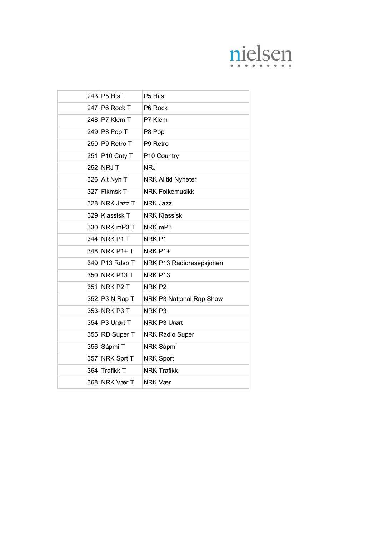# nielsen

| 243 P5 Hts T   | P5 Hits                   |
|----------------|---------------------------|
| 247 P6 Rock T  | P6 Rock                   |
| 248 P7 Klem T  | P7 Klem                   |
| 249 P8 Pop T   | P8 Pop                    |
| 250 P9 Retro T | P9 Retro                  |
| 251 P10 Cnty T | P10 Country               |
| 252 NRJ T      | <b>NRJ</b>                |
| 326 Alt Nyh T  | <b>NRK Alltid Nyheter</b> |
| 327 Flkmsk T   | <b>NRK Folkemusikk</b>    |
| 328 NRK Jazz T | <b>NRK Jazz</b>           |
| 329 Klassisk T | <b>NRK Klassisk</b>       |
| 330 NRK mP3 T  | NRK <sub>mP3</sub>        |
| 344 NRK P1 T   | NRK <sub>P1</sub>         |
| 348 NRK P1+ T  | NRK P1+                   |
| 349 P13 Rdsp T | NRK P13 Radioresepsjonen  |
| 350 NRK P13 T  | NRK P13                   |
| 351 NRK P2 T   | NRK <sub>P2</sub>         |
| 352 P3 N Rap T | NRK P3 National Rap Show  |
| 353 NRK P3 T   | NRK <sub>P3</sub>         |
| 354 P3 Urørt T | NRK P3 Urørt              |
| 355 RD Super T | <b>NRK Radio Super</b>    |
| 356 Sápmi T    | NRK Sápmi                 |
| 357 NRK Sprt T | <b>NRK Sport</b>          |
| 364 Trafikk T  | <b>NRK Trafikk</b>        |
| 368 NRK Vær T  | NRK Vær                   |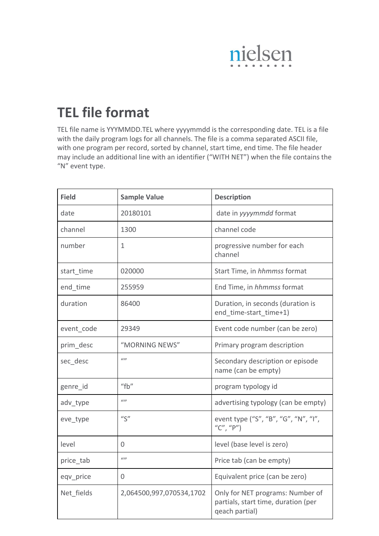

# <span id="page-15-0"></span>**TEL file format**

TEL file name is YYYMMDD.TEL where yyyymmdd is the corresponding date. TEL is a file with the daily program logs for all channels. The file is a comma separated ASCII file, with one program per record, sorted by channel, start time, end time. The file header may include an additional line with an identifier ("WITH NET") when the file contains the "N" event type.

| <b>Field</b> | <b>Sample Value</b>      | <b>Description</b>                                                                        |
|--------------|--------------------------|-------------------------------------------------------------------------------------------|
| date         | 20180101                 | date in yyyymmdd format                                                                   |
| channel      | 1300                     | channel code                                                                              |
| number       | 1                        | progressive number for each<br>channel                                                    |
| start time   | 020000                   | Start Time, in hhmmss format                                                              |
| end time     | 255959                   | End Time, in hhmmss format                                                                |
| duration     | 86400                    | Duration, in seconds (duration is<br>end time-start time+1)                               |
| event code   | 29349                    | Event code number (can be zero)                                                           |
| prim_desc    | "MORNING NEWS"           | Primary program description                                                               |
| sec desc     | (1)                      | Secondary description or episode<br>name (can be empty)                                   |
| genre id     | "fb"                     | program typology id                                                                       |
| adv_type     | (1)                      | advertising typology (can be empty)                                                       |
| eve_type     | $^{\prime\prime}$ S"     | event type ("S", "B", "G", "N", "I",<br>"C", "P")                                         |
| level        | 0                        | level (base level is zero)                                                                |
| price_tab    | (1)                      | Price tab (can be empty)                                                                  |
| eqv price    | 0                        | Equivalent price (can be zero)                                                            |
| Net fields   | 2,064500,997,070534,1702 | Only for NET programs: Number of<br>partials, start time, duration (per<br>qeach partial) |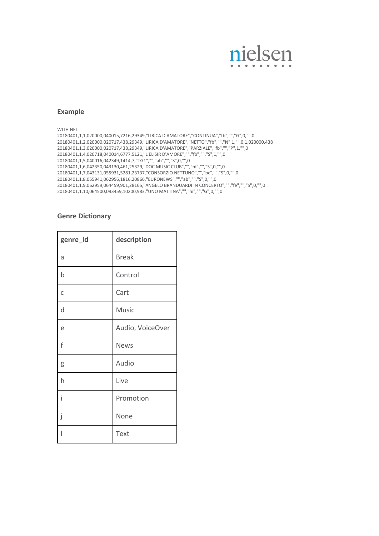# nielsen

#### <span id="page-16-0"></span>**Example**

WITH NET

20180401,1,1,020000,040015,7216,29349,"LIRICA D'AMATORE","CONTINUA","fb","","G",0,"",0 20180401,1,2,020000,020717,438,29349,"LIRICA D'AMATORE","NETTO","fb","","N",1,"",0,1,020000,438 20180401,1,3,020000,020717,438,29349,"LIRICA D'AMATORE","PARZIALE","fb","","P",1,"",0 20180401,1,4,020718,040014,6777,5121,"L'ELISIR D'AMORE","","fb","","S",1,"",0 20180401,1,5,040016,042349,1414,7,"TG1","","ab","","S",0,"",0 20180401,1,6,042350,043130,461,25329,"DOC MUSIC CLUB","","hf","","S",0,"",0 20180401,1,7,043131,055931,5281,23737,"CONSORZIO NETTUNO","","bc","","S",0,"",0 20180401,1,8,055941,062956,1816,20866,"EURONEWS","","ab","","S",0,"",0 20180401,1,9,062959,064459,901,28165,"ANGELO BRANDUARDI IN CONCERTO","","fe","","S",0,"",0 20180401,1,10,064500,093459,10200,983,"UNO MATTINA","","hi","","G",0,"",0

#### **Genre Dictionary**

| genre_id    | description      |
|-------------|------------------|
| a           | <b>Break</b>     |
| $\mathsf b$ | Control          |
| C           | Cart             |
| d           | <b>Music</b>     |
| e           | Audio, VoiceOver |
| f           | <b>News</b>      |
| g           | Audio            |
| h           | Live             |
| i           | Promotion        |
| j           | None             |
|             | Text             |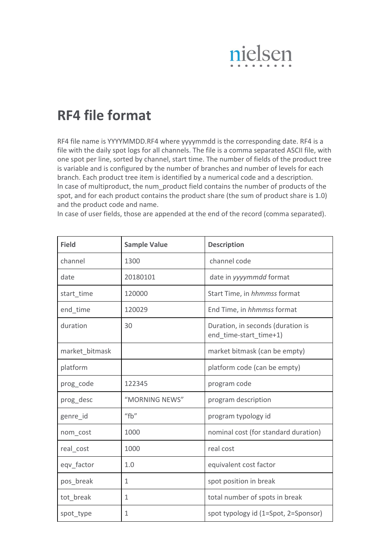

# <span id="page-17-0"></span>**RF4 file format**

RF4 file name is YYYYMMDD.RF4 where yyyymmdd is the corresponding date. RF4 is a file with the daily spot logs for all channels. The file is a comma separated ASCII file, with one spot per line, sorted by channel, start time. The number of fields of the product tree is variable and is configured by the number of branches and number of levels for each branch. Each product tree item is identified by a numerical code and a description. In case of multiproduct, the num\_product field contains the number of products of the spot, and for each product contains the product share (the sum of product share is 1.0) and the product code and name.

In case of user fields, those are appended at the end of the record (comma separated).

| <b>Field</b>   | <b>Sample Value</b> | <b>Description</b>                                          |
|----------------|---------------------|-------------------------------------------------------------|
| channel        | 1300                | channel code                                                |
| date           | 20180101            | date in yyyymmdd format                                     |
| start time     | 120000              | Start Time, in hhmmss format                                |
| end time       | 120029              | End Time, in hhmmss format                                  |
| duration       | 30                  | Duration, in seconds (duration is<br>end time-start time+1) |
| market bitmask |                     | market bitmask (can be empty)                               |
| platform       |                     | platform code (can be empty)                                |
| prog code      | 122345              | program code                                                |
| prog desc      | "MORNING NEWS"      | program description                                         |
| genre id       | "fb"                | program typology id                                         |
| nom_cost       | 1000                | nominal cost (for standard duration)                        |
| real cost      | 1000                | real cost                                                   |
| eqv factor     | 1.0                 | equivalent cost factor                                      |
| pos_break      | 1                   | spot position in break                                      |
| tot break      | 1                   | total number of spots in break                              |
| spot_type      | 1                   | spot typology id (1=Spot, 2=Sponsor)                        |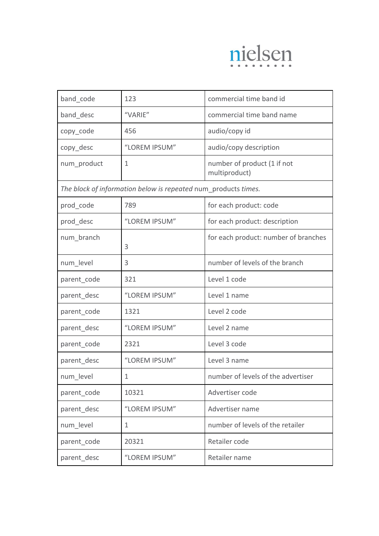

| band code                                                      | 123           | commercial time band id                      |
|----------------------------------------------------------------|---------------|----------------------------------------------|
| band_desc                                                      | "VARIE"       | commercial time band name                    |
| copy_code                                                      | 456           | audio/copy id                                |
| copy_desc                                                      | "LOREM IPSUM" | audio/copy description                       |
| num_product                                                    | $\mathbf{1}$  | number of product (1 if not<br>multiproduct) |
| The block of information below is repeated num products times. |               |                                              |
| prod_code                                                      | 789           | for each product: code                       |
| prod_desc                                                      | "LOREM IPSUM" | for each product: description                |
| num branch                                                     | 3             | for each product: number of branches         |
| num level                                                      | 3             | number of levels of the branch               |
| parent code                                                    | 321           | Level 1 code                                 |
| parent desc                                                    | "LOREM IPSUM" | Level 1 name                                 |
| parent code                                                    | 1321          | Level 2 code                                 |
| parent_desc                                                    | "LOREM IPSUM" | Level 2 name                                 |
| parent_code                                                    | 2321          | Level 3 code                                 |
| parent_desc                                                    | "LOREM IPSUM" | Level 3 name                                 |
| num_level                                                      | $\mathbf{1}$  | number of levels of the advertiser           |
| parent code                                                    | 10321         | Advertiser code                              |
| parent desc                                                    | "LOREM IPSUM" | Advertiser name                              |
| num level                                                      | 1             | number of levels of the retailer             |
| parent code                                                    | 20321         | Retailer code                                |
| parent desc                                                    | "LOREM IPSUM" | Retailer name                                |